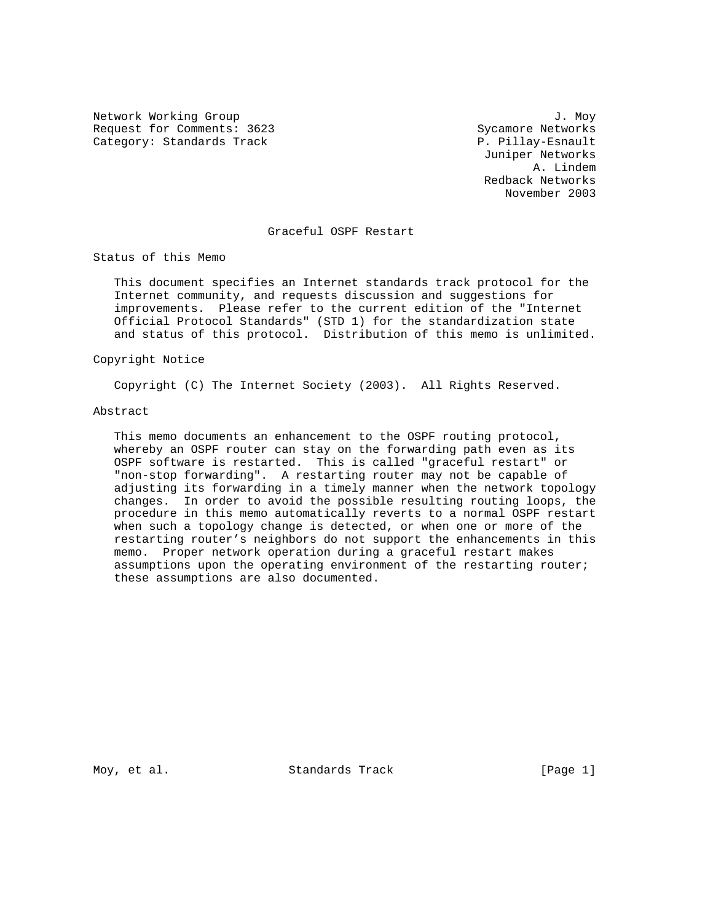Network Working Group 3. November 2012 1. November 2013 Request for Comments: 3623 Sycamore Networks Category: Standards Track P. Pillay-Esnault

 Juniper Networks A. Lindem Redback Networks November 2003

# Graceful OSPF Restart

Status of this Memo

 This document specifies an Internet standards track protocol for the Internet community, and requests discussion and suggestions for improvements. Please refer to the current edition of the "Internet Official Protocol Standards" (STD 1) for the standardization state and status of this protocol. Distribution of this memo is unlimited.

# Copyright Notice

Copyright (C) The Internet Society (2003). All Rights Reserved.

## Abstract

 This memo documents an enhancement to the OSPF routing protocol, whereby an OSPF router can stay on the forwarding path even as its OSPF software is restarted. This is called "graceful restart" or "non-stop forwarding". A restarting router may not be capable of adjusting its forwarding in a timely manner when the network topology changes. In order to avoid the possible resulting routing loops, the procedure in this memo automatically reverts to a normal OSPF restart when such a topology change is detected, or when one or more of the restarting router's neighbors do not support the enhancements in this memo. Proper network operation during a graceful restart makes assumptions upon the operating environment of the restarting router; these assumptions are also documented.

Moy, et al. Standards Track [Page 1]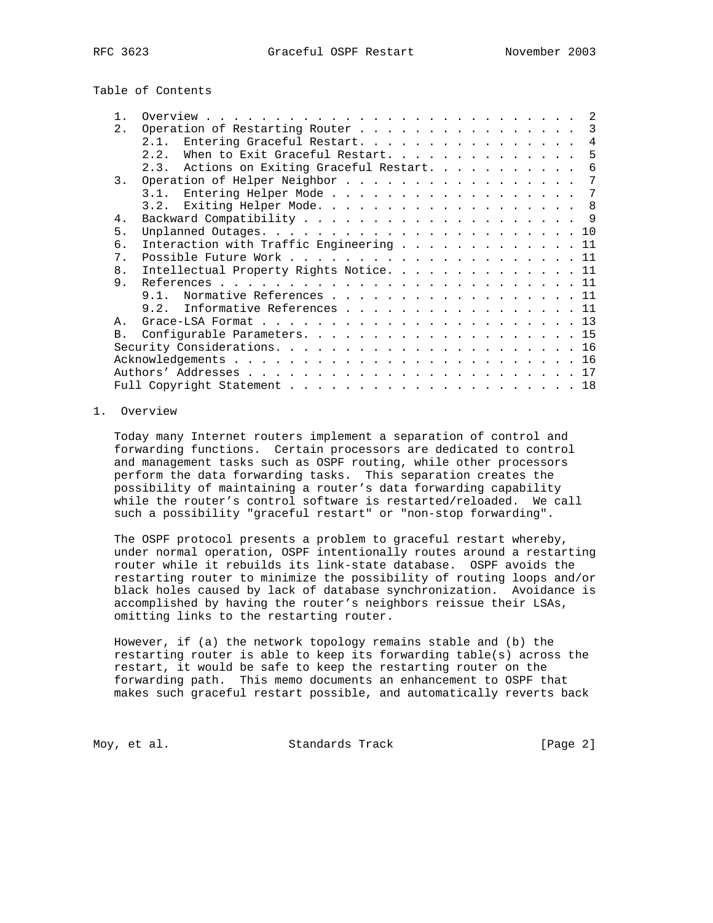Table of Contents

| Operation of Restarting Router<br>2.<br>Entering Graceful Restart.<br>2.1.<br>When to Exit Graceful Restart.<br>2.2.<br>2.3. Actions on Exiting Graceful Restart.<br>Operation of Helper Neighbor<br>3.<br>3.1. Entering Helper Mode<br>Exiting Helper Mode. 8<br>3.2.<br>4.<br>5 <sub>1</sub><br>б.<br>Interaction with Traffic Engineering 11<br>$7$ .<br>8 <sub>1</sub><br>Intellectual Property Rights Notice. 11<br>9.<br>Normative References 11<br>$9.1$ . | $\overline{\phantom{a}}$<br>4<br>5<br>6<br>7<br>7 |
|-------------------------------------------------------------------------------------------------------------------------------------------------------------------------------------------------------------------------------------------------------------------------------------------------------------------------------------------------------------------------------------------------------------------------------------------------------------------|---------------------------------------------------|
|                                                                                                                                                                                                                                                                                                                                                                                                                                                                   |                                                   |
|                                                                                                                                                                                                                                                                                                                                                                                                                                                                   |                                                   |
|                                                                                                                                                                                                                                                                                                                                                                                                                                                                   |                                                   |
|                                                                                                                                                                                                                                                                                                                                                                                                                                                                   |                                                   |
|                                                                                                                                                                                                                                                                                                                                                                                                                                                                   |                                                   |
|                                                                                                                                                                                                                                                                                                                                                                                                                                                                   |                                                   |
|                                                                                                                                                                                                                                                                                                                                                                                                                                                                   |                                                   |
|                                                                                                                                                                                                                                                                                                                                                                                                                                                                   |                                                   |
|                                                                                                                                                                                                                                                                                                                                                                                                                                                                   |                                                   |
|                                                                                                                                                                                                                                                                                                                                                                                                                                                                   |                                                   |
|                                                                                                                                                                                                                                                                                                                                                                                                                                                                   |                                                   |
|                                                                                                                                                                                                                                                                                                                                                                                                                                                                   |                                                   |
|                                                                                                                                                                                                                                                                                                                                                                                                                                                                   |                                                   |
|                                                                                                                                                                                                                                                                                                                                                                                                                                                                   |                                                   |
| Informative References 11<br>9.2.                                                                                                                                                                                                                                                                                                                                                                                                                                 |                                                   |
| A                                                                                                                                                                                                                                                                                                                                                                                                                                                                 |                                                   |
| B <sub>1</sub>                                                                                                                                                                                                                                                                                                                                                                                                                                                    |                                                   |
|                                                                                                                                                                                                                                                                                                                                                                                                                                                                   |                                                   |
|                                                                                                                                                                                                                                                                                                                                                                                                                                                                   |                                                   |
|                                                                                                                                                                                                                                                                                                                                                                                                                                                                   |                                                   |
|                                                                                                                                                                                                                                                                                                                                                                                                                                                                   |                                                   |

# 1. Overview

 Today many Internet routers implement a separation of control and forwarding functions. Certain processors are dedicated to control and management tasks such as OSPF routing, while other processors perform the data forwarding tasks. This separation creates the possibility of maintaining a router's data forwarding capability while the router's control software is restarted/reloaded. We call such a possibility "graceful restart" or "non-stop forwarding".

 The OSPF protocol presents a problem to graceful restart whereby, under normal operation, OSPF intentionally routes around a restarting router while it rebuilds its link-state database. OSPF avoids the restarting router to minimize the possibility of routing loops and/or black holes caused by lack of database synchronization. Avoidance is accomplished by having the router's neighbors reissue their LSAs, omitting links to the restarting router.

 However, if (a) the network topology remains stable and (b) the restarting router is able to keep its forwarding table(s) across the restart, it would be safe to keep the restarting router on the forwarding path. This memo documents an enhancement to OSPF that makes such graceful restart possible, and automatically reverts back

Moy, et al. Standards Track [Page 2]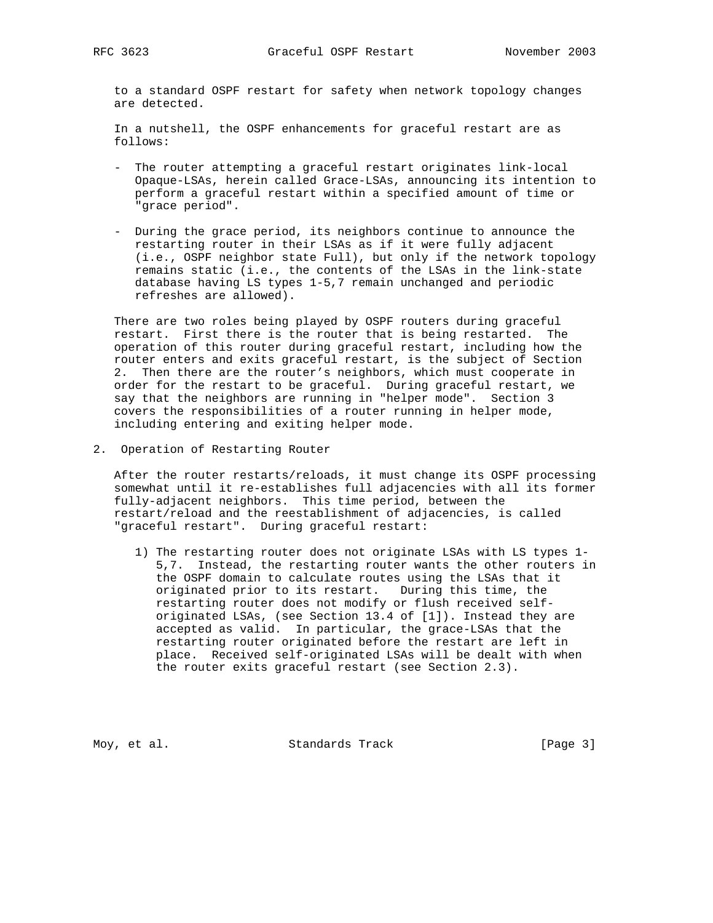to a standard OSPF restart for safety when network topology changes are detected.

 In a nutshell, the OSPF enhancements for graceful restart are as follows:

- The router attempting a graceful restart originates link-local Opaque-LSAs, herein called Grace-LSAs, announcing its intention to perform a graceful restart within a specified amount of time or "grace period".
- During the grace period, its neighbors continue to announce the restarting router in their LSAs as if it were fully adjacent (i.e., OSPF neighbor state Full), but only if the network topology remains static (i.e., the contents of the LSAs in the link-state database having LS types 1-5,7 remain unchanged and periodic refreshes are allowed).

 There are two roles being played by OSPF routers during graceful restart. First there is the router that is being restarted. The operation of this router during graceful restart, including how the router enters and exits graceful restart, is the subject of Section 2. Then there are the router's neighbors, which must cooperate in order for the restart to be graceful. During graceful restart, we say that the neighbors are running in "helper mode". Section 3 covers the responsibilities of a router running in helper mode, including entering and exiting helper mode.

2. Operation of Restarting Router

 After the router restarts/reloads, it must change its OSPF processing somewhat until it re-establishes full adjacencies with all its former fully-adjacent neighbors. This time period, between the restart/reload and the reestablishment of adjacencies, is called "graceful restart". During graceful restart:

 1) The restarting router does not originate LSAs with LS types 1- 5,7. Instead, the restarting router wants the other routers in the OSPF domain to calculate routes using the LSAs that it originated prior to its restart. During this time, the restarting router does not modify or flush received self originated LSAs, (see Section 13.4 of [1]). Instead they are accepted as valid. In particular, the grace-LSAs that the restarting router originated before the restart are left in place. Received self-originated LSAs will be dealt with when the router exits graceful restart (see Section 2.3).

Moy, et al. Standards Track [Page 3]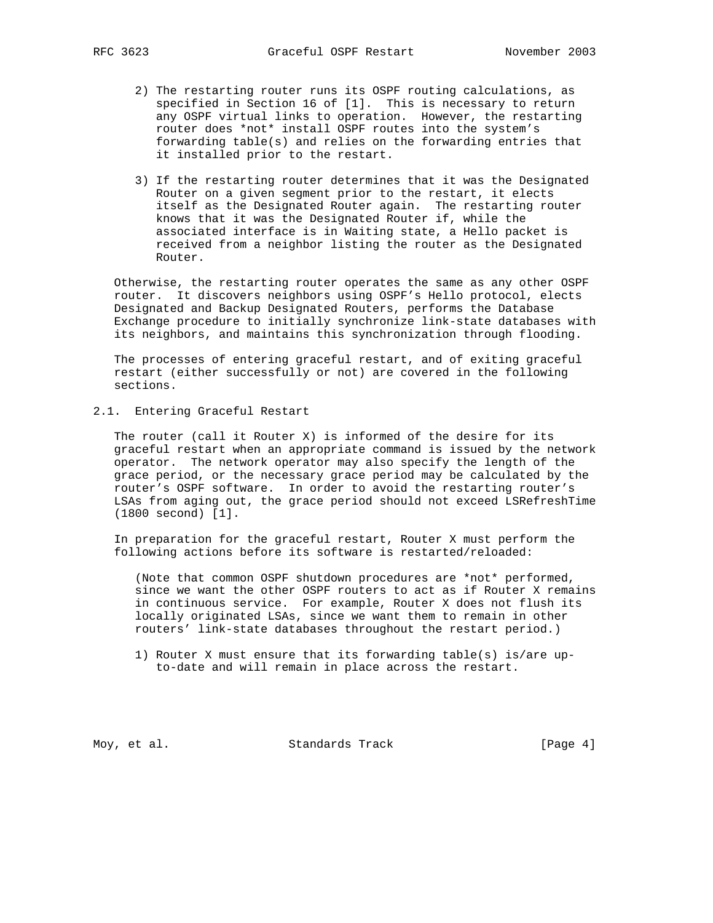- 2) The restarting router runs its OSPF routing calculations, as specified in Section 16 of [1]. This is necessary to return any OSPF virtual links to operation. However, the restarting router does \*not\* install OSPF routes into the system's forwarding table(s) and relies on the forwarding entries that it installed prior to the restart.
- 3) If the restarting router determines that it was the Designated Router on a given segment prior to the restart, it elects itself as the Designated Router again. The restarting router knows that it was the Designated Router if, while the associated interface is in Waiting state, a Hello packet is received from a neighbor listing the router as the Designated Router.

 Otherwise, the restarting router operates the same as any other OSPF router. It discovers neighbors using OSPF's Hello protocol, elects Designated and Backup Designated Routers, performs the Database Exchange procedure to initially synchronize link-state databases with its neighbors, and maintains this synchronization through flooding.

 The processes of entering graceful restart, and of exiting graceful restart (either successfully or not) are covered in the following sections.

2.1. Entering Graceful Restart

 The router (call it Router X) is informed of the desire for its graceful restart when an appropriate command is issued by the network operator. The network operator may also specify the length of the grace period, or the necessary grace period may be calculated by the router's OSPF software. In order to avoid the restarting router's LSAs from aging out, the grace period should not exceed LSRefreshTime (1800 second) [1].

 In preparation for the graceful restart, Router X must perform the following actions before its software is restarted/reloaded:

 (Note that common OSPF shutdown procedures are \*not\* performed, since we want the other OSPF routers to act as if Router X remains in continuous service. For example, Router X does not flush its locally originated LSAs, since we want them to remain in other routers' link-state databases throughout the restart period.)

 1) Router X must ensure that its forwarding table(s) is/are up to-date and will remain in place across the restart.

Moy, et al. Standards Track [Page 4]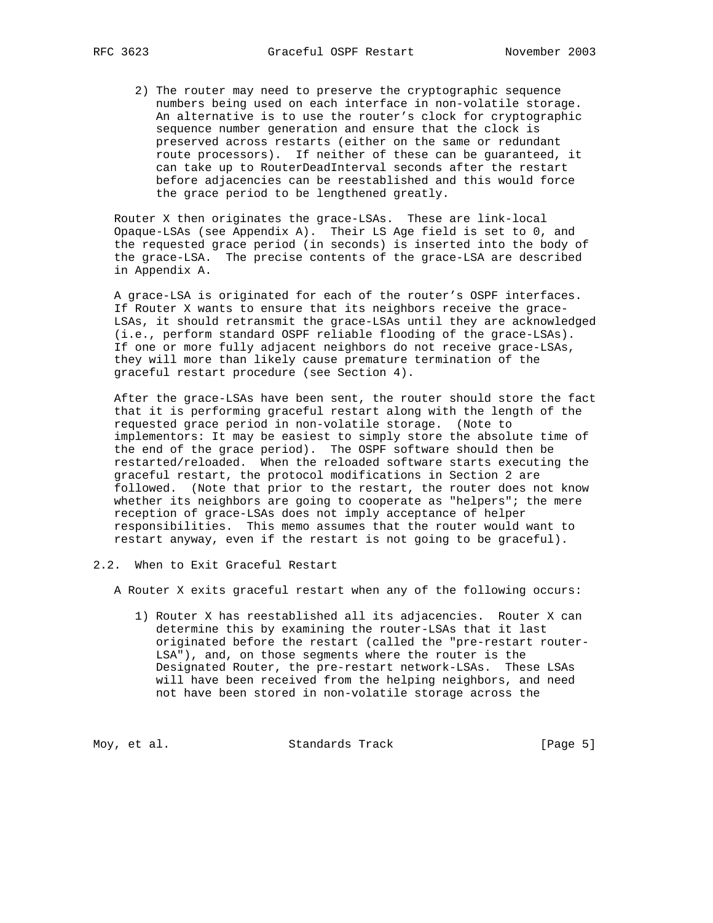2) The router may need to preserve the cryptographic sequence numbers being used on each interface in non-volatile storage. An alternative is to use the router's clock for cryptographic sequence number generation and ensure that the clock is preserved across restarts (either on the same or redundant route processors). If neither of these can be guaranteed, it can take up to RouterDeadInterval seconds after the restart before adjacencies can be reestablished and this would force the grace period to be lengthened greatly.

 Router X then originates the grace-LSAs. These are link-local Opaque-LSAs (see Appendix A). Their LS Age field is set to 0, and the requested grace period (in seconds) is inserted into the body of the grace-LSA. The precise contents of the grace-LSA are described in Appendix A.

 A grace-LSA is originated for each of the router's OSPF interfaces. If Router X wants to ensure that its neighbors receive the grace- LSAs, it should retransmit the grace-LSAs until they are acknowledged (i.e., perform standard OSPF reliable flooding of the grace-LSAs). If one or more fully adjacent neighbors do not receive grace-LSAs, they will more than likely cause premature termination of the graceful restart procedure (see Section 4).

 After the grace-LSAs have been sent, the router should store the fact that it is performing graceful restart along with the length of the requested grace period in non-volatile storage. (Note to implementors: It may be easiest to simply store the absolute time of the end of the grace period). The OSPF software should then be restarted/reloaded. When the reloaded software starts executing the graceful restart, the protocol modifications in Section 2 are followed. (Note that prior to the restart, the router does not know whether its neighbors are going to cooperate as "helpers"; the mere reception of grace-LSAs does not imply acceptance of helper responsibilities. This memo assumes that the router would want to restart anyway, even if the restart is not going to be graceful).

2.2. When to Exit Graceful Restart

A Router X exits graceful restart when any of the following occurs:

 1) Router X has reestablished all its adjacencies. Router X can determine this by examining the router-LSAs that it last originated before the restart (called the "pre-restart router- LSA"), and, on those segments where the router is the Designated Router, the pre-restart network-LSAs. These LSAs will have been received from the helping neighbors, and need not have been stored in non-volatile storage across the

Moy, et al. Standards Track [Page 5]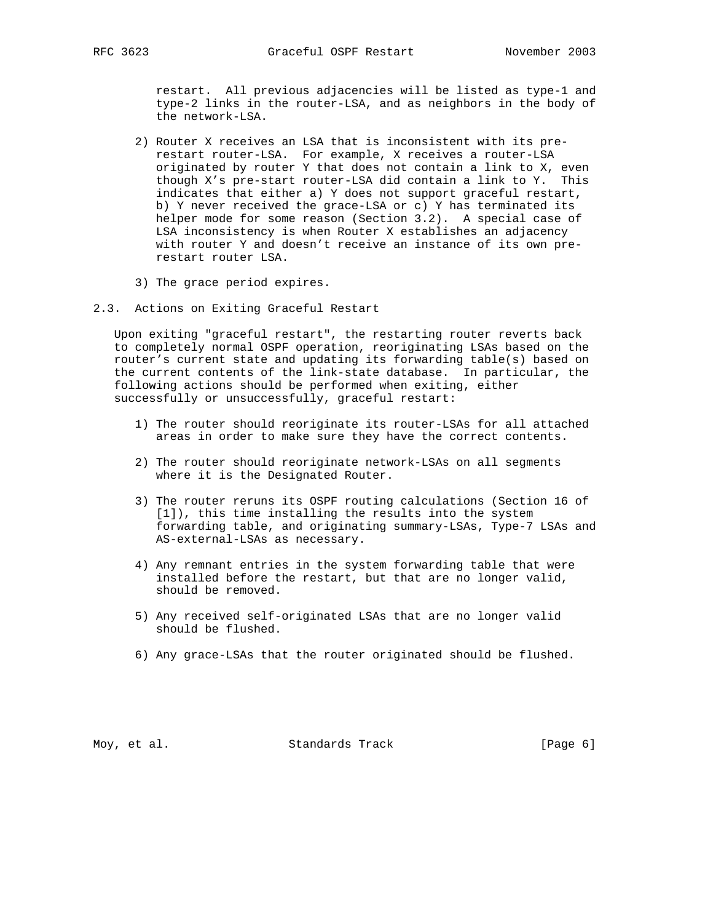restart. All previous adjacencies will be listed as type-1 and type-2 links in the router-LSA, and as neighbors in the body of the network-LSA.

- 2) Router X receives an LSA that is inconsistent with its pre restart router-LSA. For example, X receives a router-LSA originated by router Y that does not contain a link to X, even though X's pre-start router-LSA did contain a link to Y. This indicates that either a) Y does not support graceful restart, b) Y never received the grace-LSA or c) Y has terminated its helper mode for some reason (Section 3.2). A special case of LSA inconsistency is when Router X establishes an adjacency with router Y and doesn't receive an instance of its own pre restart router LSA.
- 3) The grace period expires.
- 2.3. Actions on Exiting Graceful Restart

 Upon exiting "graceful restart", the restarting router reverts back to completely normal OSPF operation, reoriginating LSAs based on the router's current state and updating its forwarding table(s) based on the current contents of the link-state database. In particular, the following actions should be performed when exiting, either successfully or unsuccessfully, graceful restart:

- 1) The router should reoriginate its router-LSAs for all attached areas in order to make sure they have the correct contents.
- 2) The router should reoriginate network-LSAs on all segments where it is the Designated Router.
- 3) The router reruns its OSPF routing calculations (Section 16 of [1]), this time installing the results into the system forwarding table, and originating summary-LSAs, Type-7 LSAs and AS-external-LSAs as necessary.
- 4) Any remnant entries in the system forwarding table that were installed before the restart, but that are no longer valid, should be removed.
- 5) Any received self-originated LSAs that are no longer valid should be flushed.
- 6) Any grace-LSAs that the router originated should be flushed.

Moy, et al. Standards Track [Page 6]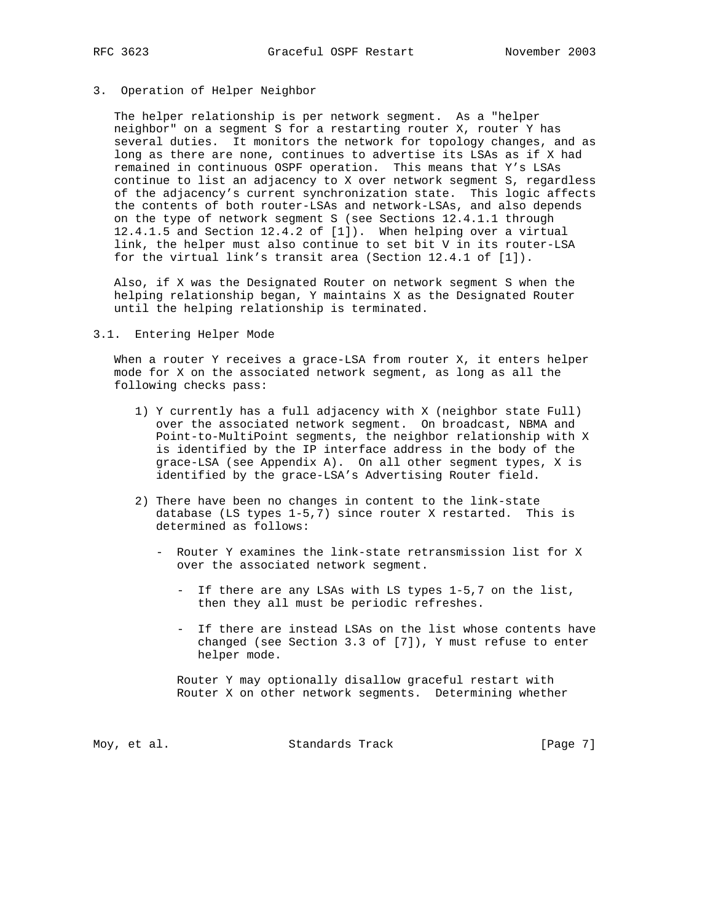# 3. Operation of Helper Neighbor

 The helper relationship is per network segment. As a "helper neighbor" on a segment S for a restarting router X, router Y has several duties. It monitors the network for topology changes, and as long as there are none, continues to advertise its LSAs as if X had remained in continuous OSPF operation. This means that Y's LSAs continue to list an adjacency to X over network segment S, regardless of the adjacency's current synchronization state. This logic affects the contents of both router-LSAs and network-LSAs, and also depends on the type of network segment S (see Sections 12.4.1.1 through 12.4.1.5 and Section 12.4.2 of [1]). When helping over a virtual link, the helper must also continue to set bit V in its router-LSA for the virtual link's transit area (Section 12.4.1 of [1]).

 Also, if X was the Designated Router on network segment S when the helping relationship began, Y maintains X as the Designated Router until the helping relationship is terminated.

#### 3.1. Entering Helper Mode

When a router Y receives a grace-LSA from router X, it enters helper mode for X on the associated network segment, as long as all the following checks pass:

- 1) Y currently has a full adjacency with X (neighbor state Full) over the associated network segment. On broadcast, NBMA and Point-to-MultiPoint segments, the neighbor relationship with X is identified by the IP interface address in the body of the grace-LSA (see Appendix A). On all other segment types, X is identified by the grace-LSA's Advertising Router field.
- 2) There have been no changes in content to the link-state database (LS types 1-5,7) since router X restarted. This is determined as follows:
	- Router Y examines the link-state retransmission list for X over the associated network segment.
		- If there are any LSAs with LS types 1-5,7 on the list, then they all must be periodic refreshes.
		- If there are instead LSAs on the list whose contents have changed (see Section 3.3 of [7]), Y must refuse to enter helper mode.

 Router Y may optionally disallow graceful restart with Router X on other network segments. Determining whether

Moy, et al. Standards Track [Page 7]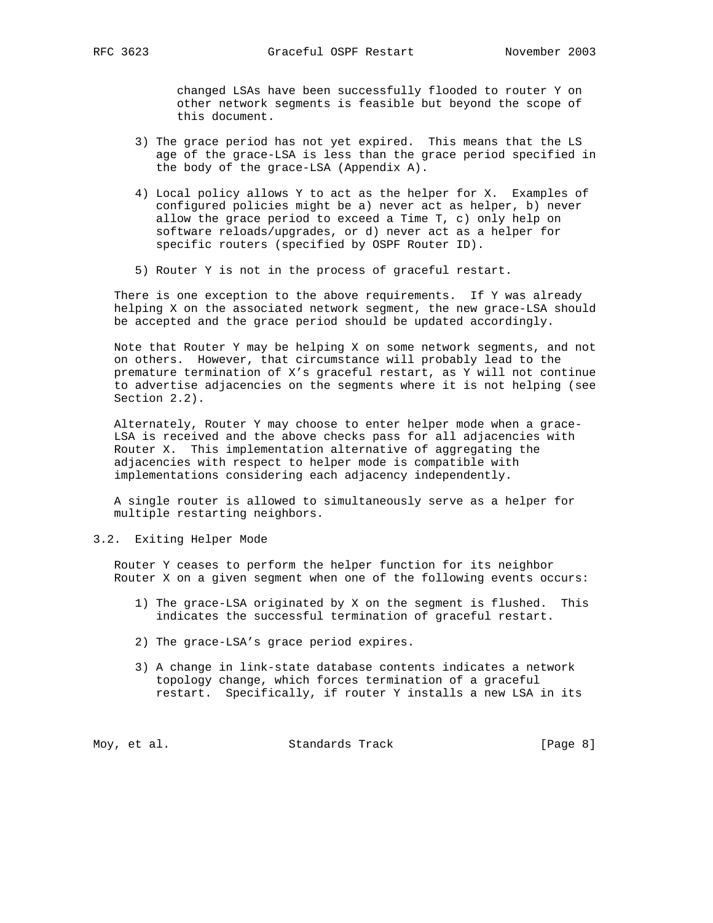changed LSAs have been successfully flooded to router Y on other network segments is feasible but beyond the scope of this document.

- 3) The grace period has not yet expired. This means that the LS age of the grace-LSA is less than the grace period specified in the body of the grace-LSA (Appendix A).
- 4) Local policy allows Y to act as the helper for X. Examples of configured policies might be a) never act as helper, b) never allow the grace period to exceed a Time T, c) only help on software reloads/upgrades, or d) never act as a helper for specific routers (specified by OSPF Router ID).
- 5) Router Y is not in the process of graceful restart.

There is one exception to the above requirements. If Y was already helping X on the associated network segment, the new grace-LSA should be accepted and the grace period should be updated accordingly.

 Note that Router Y may be helping X on some network segments, and not on others. However, that circumstance will probably lead to the premature termination of X's graceful restart, as Y will not continue to advertise adjacencies on the segments where it is not helping (see Section 2.2).

 Alternately, Router Y may choose to enter helper mode when a grace- LSA is received and the above checks pass for all adjacencies with Router X. This implementation alternative of aggregating the adjacencies with respect to helper mode is compatible with implementations considering each adjacency independently.

 A single router is allowed to simultaneously serve as a helper for multiple restarting neighbors.

3.2. Exiting Helper Mode

 Router Y ceases to perform the helper function for its neighbor Router X on a given segment when one of the following events occurs:

- 1) The grace-LSA originated by X on the segment is flushed. This indicates the successful termination of graceful restart.
- 2) The grace-LSA's grace period expires.
- 3) A change in link-state database contents indicates a network topology change, which forces termination of a graceful restart. Specifically, if router Y installs a new LSA in its

Moy, et al. Standards Track [Page 8]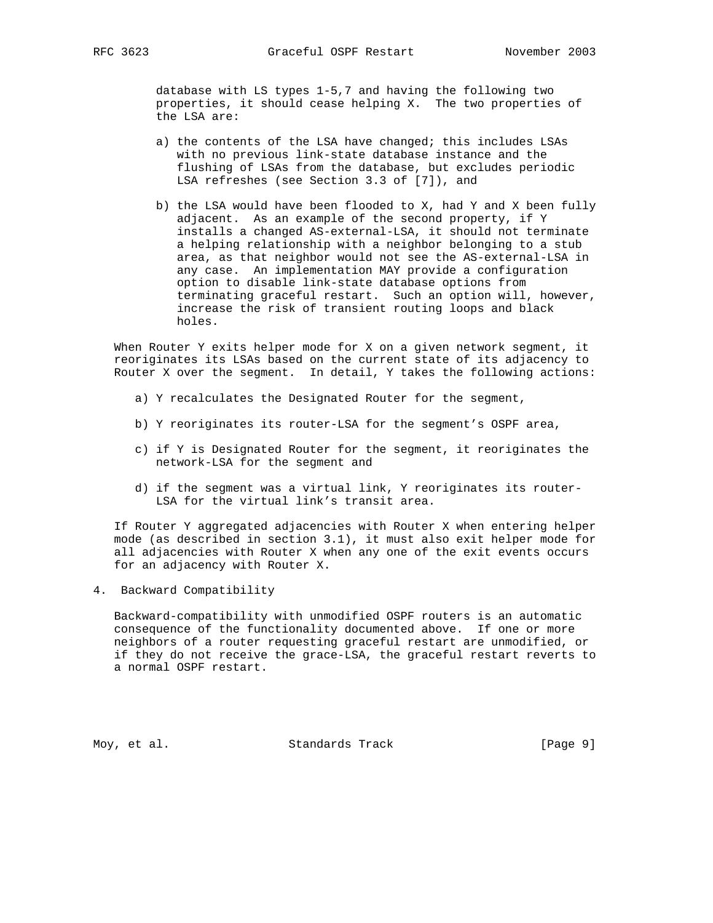database with LS types 1-5,7 and having the following two properties, it should cease helping X. The two properties of the LSA are:

- a) the contents of the LSA have changed; this includes LSAs with no previous link-state database instance and the flushing of LSAs from the database, but excludes periodic LSA refreshes (see Section 3.3 of [7]), and
- b) the LSA would have been flooded to X, had Y and X been fully adjacent. As an example of the second property, if Y installs a changed AS-external-LSA, it should not terminate a helping relationship with a neighbor belonging to a stub area, as that neighbor would not see the AS-external-LSA in any case. An implementation MAY provide a configuration option to disable link-state database options from terminating graceful restart. Such an option will, however, increase the risk of transient routing loops and black holes.

 When Router Y exits helper mode for X on a given network segment, it reoriginates its LSAs based on the current state of its adjacency to Router X over the segment. In detail, Y takes the following actions:

- a) Y recalculates the Designated Router for the segment,
- b) Y reoriginates its router-LSA for the segment's OSPF area,
- c) if Y is Designated Router for the segment, it reoriginates the network-LSA for the segment and
- d) if the segment was a virtual link, Y reoriginates its router- LSA for the virtual link's transit area.

 If Router Y aggregated adjacencies with Router X when entering helper mode (as described in section 3.1), it must also exit helper mode for all adjacencies with Router X when any one of the exit events occurs for an adjacency with Router X.

4. Backward Compatibility

 Backward-compatibility with unmodified OSPF routers is an automatic consequence of the functionality documented above. If one or more neighbors of a router requesting graceful restart are unmodified, or if they do not receive the grace-LSA, the graceful restart reverts to a normal OSPF restart.

Moy, et al. Standards Track [Page 9]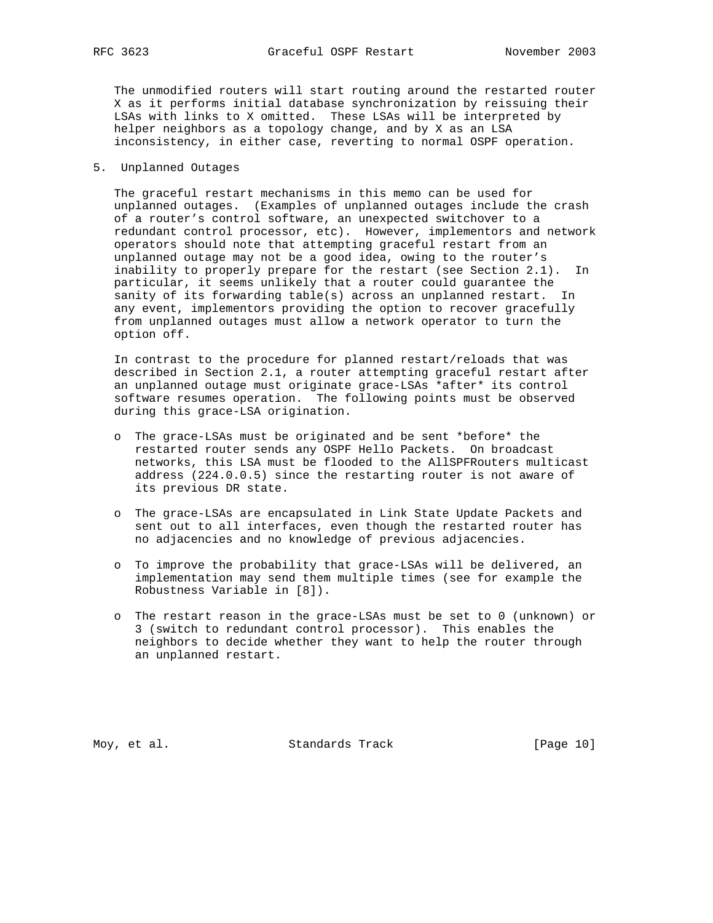The unmodified routers will start routing around the restarted router X as it performs initial database synchronization by reissuing their LSAs with links to X omitted. These LSAs will be interpreted by helper neighbors as a topology change, and by X as an LSA inconsistency, in either case, reverting to normal OSPF operation.

# 5. Unplanned Outages

 The graceful restart mechanisms in this memo can be used for unplanned outages. (Examples of unplanned outages include the crash of a router's control software, an unexpected switchover to a redundant control processor, etc). However, implementors and network operators should note that attempting graceful restart from an unplanned outage may not be a good idea, owing to the router's inability to properly prepare for the restart (see Section 2.1). In particular, it seems unlikely that a router could guarantee the sanity of its forwarding table(s) across an unplanned restart. In any event, implementors providing the option to recover gracefully from unplanned outages must allow a network operator to turn the option off.

 In contrast to the procedure for planned restart/reloads that was described in Section 2.1, a router attempting graceful restart after an unplanned outage must originate grace-LSAs \*after\* its control software resumes operation. The following points must be observed during this grace-LSA origination.

- o The grace-LSAs must be originated and be sent \*before\* the restarted router sends any OSPF Hello Packets. On broadcast networks, this LSA must be flooded to the AllSPFRouters multicast address (224.0.0.5) since the restarting router is not aware of its previous DR state.
- o The grace-LSAs are encapsulated in Link State Update Packets and sent out to all interfaces, even though the restarted router has no adjacencies and no knowledge of previous adjacencies.
- o To improve the probability that grace-LSAs will be delivered, an implementation may send them multiple times (see for example the Robustness Variable in [8]).
- o The restart reason in the grace-LSAs must be set to 0 (unknown) or 3 (switch to redundant control processor). This enables the neighbors to decide whether they want to help the router through an unplanned restart.

Moy, et al. Standards Track [Page 10]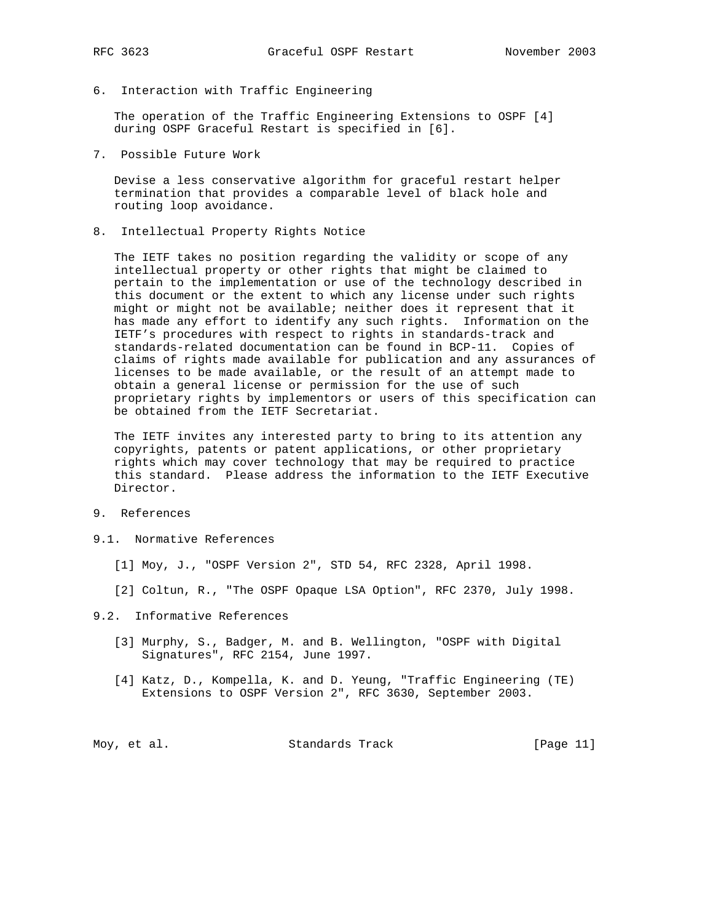- 
- 6. Interaction with Traffic Engineering

 The operation of the Traffic Engineering Extensions to OSPF [4] during OSPF Graceful Restart is specified in [6].

7. Possible Future Work

 Devise a less conservative algorithm for graceful restart helper termination that provides a comparable level of black hole and routing loop avoidance.

8. Intellectual Property Rights Notice

 The IETF takes no position regarding the validity or scope of any intellectual property or other rights that might be claimed to pertain to the implementation or use of the technology described in this document or the extent to which any license under such rights might or might not be available; neither does it represent that it has made any effort to identify any such rights. Information on the IETF's procedures with respect to rights in standards-track and standards-related documentation can be found in BCP-11. Copies of claims of rights made available for publication and any assurances of licenses to be made available, or the result of an attempt made to obtain a general license or permission for the use of such proprietary rights by implementors or users of this specification can be obtained from the IETF Secretariat.

 The IETF invites any interested party to bring to its attention any copyrights, patents or patent applications, or other proprietary rights which may cover technology that may be required to practice this standard. Please address the information to the IETF Executive Director.

- 9. References
- 9.1. Normative References
	- [1] Moy, J., "OSPF Version 2", STD 54, RFC 2328, April 1998.
	- [2] Coltun, R., "The OSPF Opaque LSA Option", RFC 2370, July 1998.
- 9.2. Informative References
	- [3] Murphy, S., Badger, M. and B. Wellington, "OSPF with Digital Signatures", RFC 2154, June 1997.
	- [4] Katz, D., Kompella, K. and D. Yeung, "Traffic Engineering (TE) Extensions to OSPF Version 2", RFC 3630, September 2003.

Moy, et al. Standards Track [Page 11]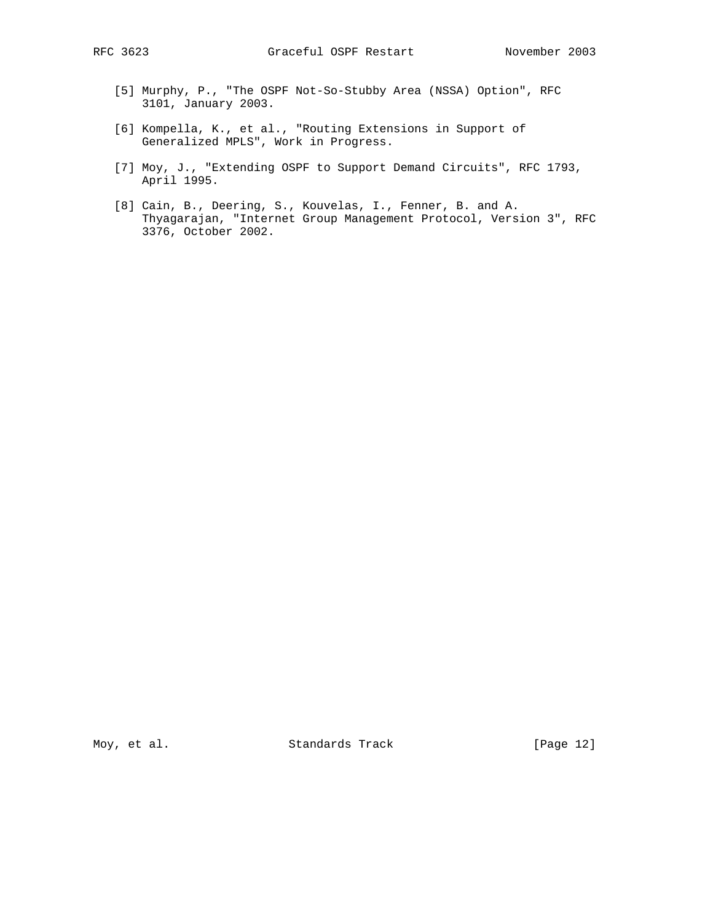- [5] Murphy, P., "The OSPF Not-So-Stubby Area (NSSA) Option", RFC 3101, January 2003.
- [6] Kompella, K., et al., "Routing Extensions in Support of Generalized MPLS", Work in Progress.
- [7] Moy, J., "Extending OSPF to Support Demand Circuits", RFC 1793, April 1995.
- [8] Cain, B., Deering, S., Kouvelas, I., Fenner, B. and A. Thyagarajan, "Internet Group Management Protocol, Version 3", RFC 3376, October 2002.

Moy, et al. Standards Track [Page 12]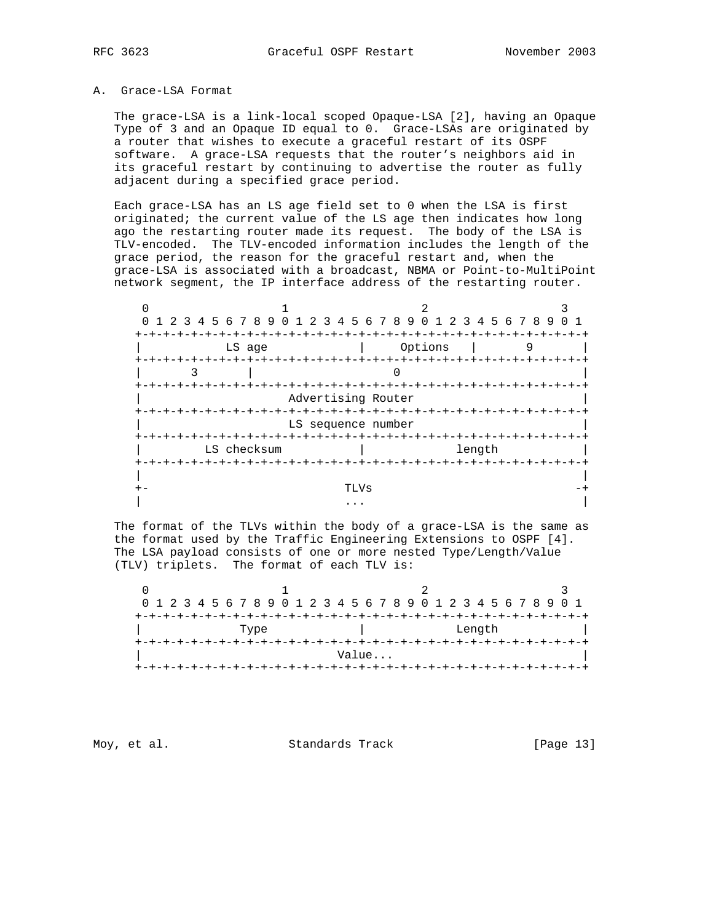#### A. Grace-LSA Format

 The grace-LSA is a link-local scoped Opaque-LSA [2], having an Opaque Type of 3 and an Opaque ID equal to 0. Grace-LSAs are originated by a router that wishes to execute a graceful restart of its OSPF software. A grace-LSA requests that the router's neighbors aid in its graceful restart by continuing to advertise the router as fully adjacent during a specified grace period.

 Each grace-LSA has an LS age field set to 0 when the LSA is first originated; the current value of the LS age then indicates how long ago the restarting router made its request. The body of the LSA is TLV-encoded. The TLV-encoded information includes the length of the grace period, the reason for the graceful restart and, when the grace-LSA is associated with a broadcast, NBMA or Point-to-MultiPoint network segment, the IP interface address of the restarting router.

| 1 2 3 4 5 6 7 8 9 0 1 2 3 4 5 6 7 8 9 0 1 2 3 4 5 6 7 8 9 |                                               |        |   |
|-----------------------------------------------------------|-----------------------------------------------|--------|---|
| LS age                                                    | Options                                       |        | 9 |
|                                                           |                                               |        |   |
|                                                           | Advertising Router                            |        |   |
|                                                           | LS sequence number                            |        |   |
| LS checksum                                               |                                               | length |   |
| +-+-+-+-+-+-+-+-+-+-+-+-+-+-                              | -+-+-+-+-+-+-+-+-+-+-+-+-+-+-+-+-+-+-<br>TLVs |        |   |
|                                                           | $\cdots$                                      |        |   |

 The format of the TLVs within the body of a grace-LSA is the same as the format used by the Traffic Engineering Extensions to OSPF [4]. The LSA payload consists of one or more nested Type/Length/Value (TLV) triplets. The format of each TLV is:

 $0$  1 2 3 0 1 2 3 4 5 6 7 8 9 0 1 2 3 4 5 6 7 8 9 0 1 2 3 4 5 6 7 8 9 0 1 +-+-+-+-+-+-+-+-+-+-+-+-+-+-+-+-+-+-+-+-+-+-+-+-+-+-+-+-+-+-+-+-+ Type  $|$  Length +-+-+-+-+-+-+-+-+-+-+-+-+-+-+-+-+-+-+-+-+-+-+-+-+-+-+-+-+-+-+-+-+ Value... +-+-+-+-+-+-+-+-+-+-+-+-+-+-+-+-+-+-+-+-+-+-+-+-+-+-+-+-+-+-+-+-+

Moy, et al. Standards Track [Page 13]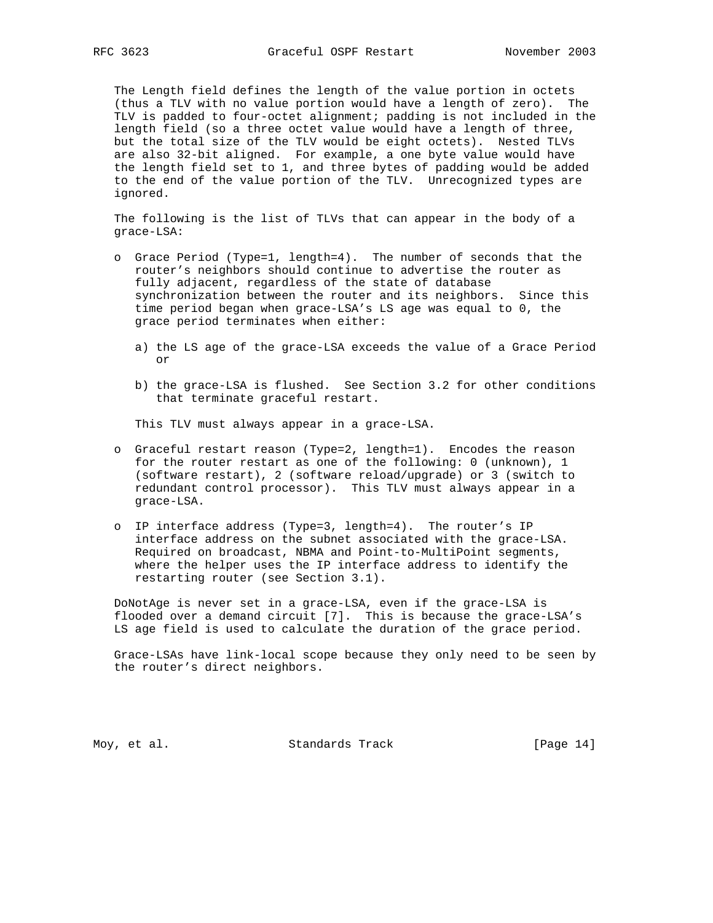The Length field defines the length of the value portion in octets (thus a TLV with no value portion would have a length of zero). The TLV is padded to four-octet alignment; padding is not included in the length field (so a three octet value would have a length of three, but the total size of the TLV would be eight octets). Nested TLVs are also 32-bit aligned. For example, a one byte value would have the length field set to 1, and three bytes of padding would be added to the end of the value portion of the TLV. Unrecognized types are ignored.

 The following is the list of TLVs that can appear in the body of a grace-LSA:

- o Grace Period (Type=1, length=4). The number of seconds that the router's neighbors should continue to advertise the router as fully adjacent, regardless of the state of database synchronization between the router and its neighbors. Since this time period began when grace-LSA's LS age was equal to 0, the grace period terminates when either:
	- a) the LS age of the grace-LSA exceeds the value of a Grace Period or
	- b) the grace-LSA is flushed. See Section 3.2 for other conditions that terminate graceful restart.

This TLV must always appear in a grace-LSA.

- o Graceful restart reason (Type=2, length=1). Encodes the reason for the router restart as one of the following: 0 (unknown), 1 (software restart), 2 (software reload/upgrade) or 3 (switch to redundant control processor). This TLV must always appear in a grace-LSA.
- o IP interface address (Type=3, length=4). The router's IP interface address on the subnet associated with the grace-LSA. Required on broadcast, NBMA and Point-to-MultiPoint segments, where the helper uses the IP interface address to identify the restarting router (see Section 3.1).

 DoNotAge is never set in a grace-LSA, even if the grace-LSA is flooded over a demand circuit [7]. This is because the grace-LSA's LS age field is used to calculate the duration of the grace period.

 Grace-LSAs have link-local scope because they only need to be seen by the router's direct neighbors.

Moy, et al. Standards Track [Page 14]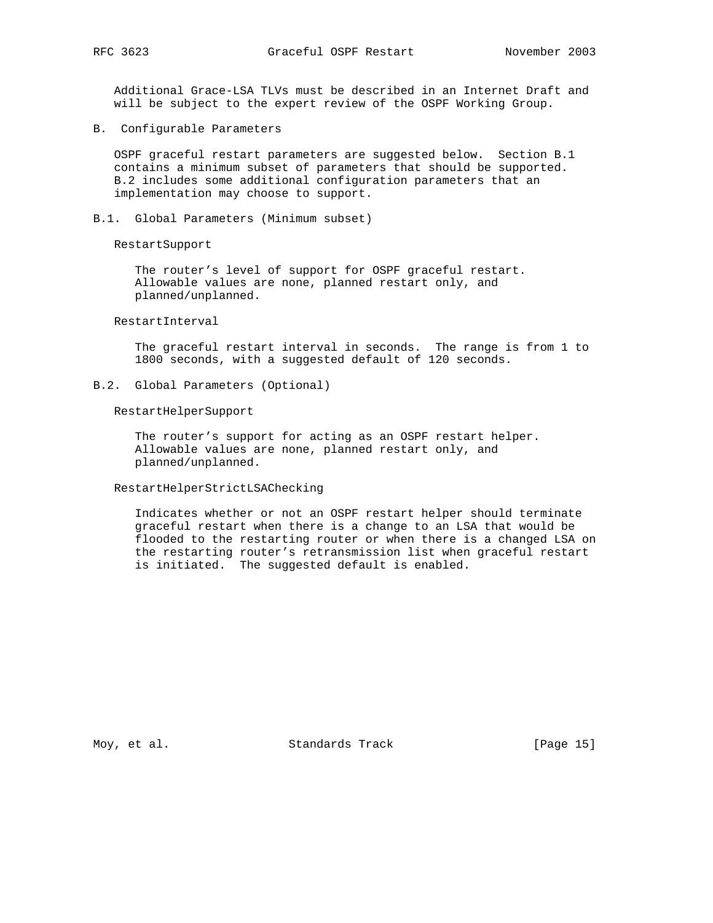Additional Grace-LSA TLVs must be described in an Internet Draft and will be subject to the expert review of the OSPF Working Group.

B. Configurable Parameters

 OSPF graceful restart parameters are suggested below. Section B.1 contains a minimum subset of parameters that should be supported. B.2 includes some additional configuration parameters that an implementation may choose to support.

B.1. Global Parameters (Minimum subset)

RestartSupport

 The router's level of support for OSPF graceful restart. Allowable values are none, planned restart only, and planned/unplanned.

# RestartInterval

 The graceful restart interval in seconds. The range is from 1 to 1800 seconds, with a suggested default of 120 seconds.

B.2. Global Parameters (Optional)

RestartHelperSupport

 The router's support for acting as an OSPF restart helper. Allowable values are none, planned restart only, and planned/unplanned.

# RestartHelperStrictLSAChecking

 Indicates whether or not an OSPF restart helper should terminate graceful restart when there is a change to an LSA that would be flooded to the restarting router or when there is a changed LSA on the restarting router's retransmission list when graceful restart is initiated. The suggested default is enabled.

Moy, et al. Standards Track [Page 15]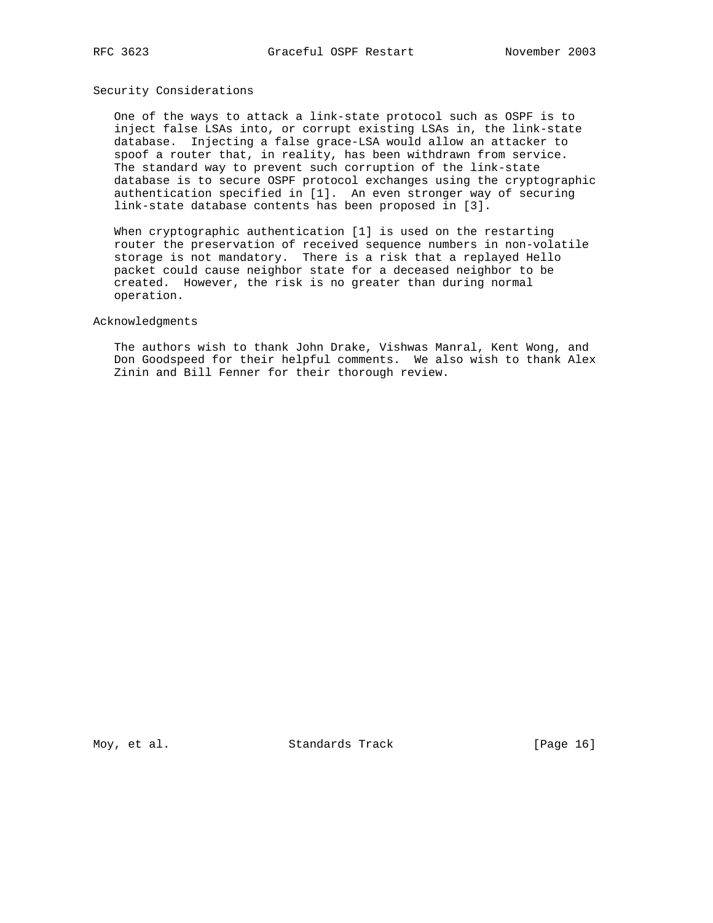# Security Considerations

 One of the ways to attack a link-state protocol such as OSPF is to inject false LSAs into, or corrupt existing LSAs in, the link-state database. Injecting a false grace-LSA would allow an attacker to spoof a router that, in reality, has been withdrawn from service. The standard way to prevent such corruption of the link-state database is to secure OSPF protocol exchanges using the cryptographic authentication specified in [1]. An even stronger way of securing link-state database contents has been proposed in [3].

 When cryptographic authentication [1] is used on the restarting router the preservation of received sequence numbers in non-volatile storage is not mandatory. There is a risk that a replayed Hello packet could cause neighbor state for a deceased neighbor to be created. However, the risk is no greater than during normal operation.

# Acknowledgments

 The authors wish to thank John Drake, Vishwas Manral, Kent Wong, and Don Goodspeed for their helpful comments. We also wish to thank Alex Zinin and Bill Fenner for their thorough review.

Moy, et al. Standards Track [Page 16]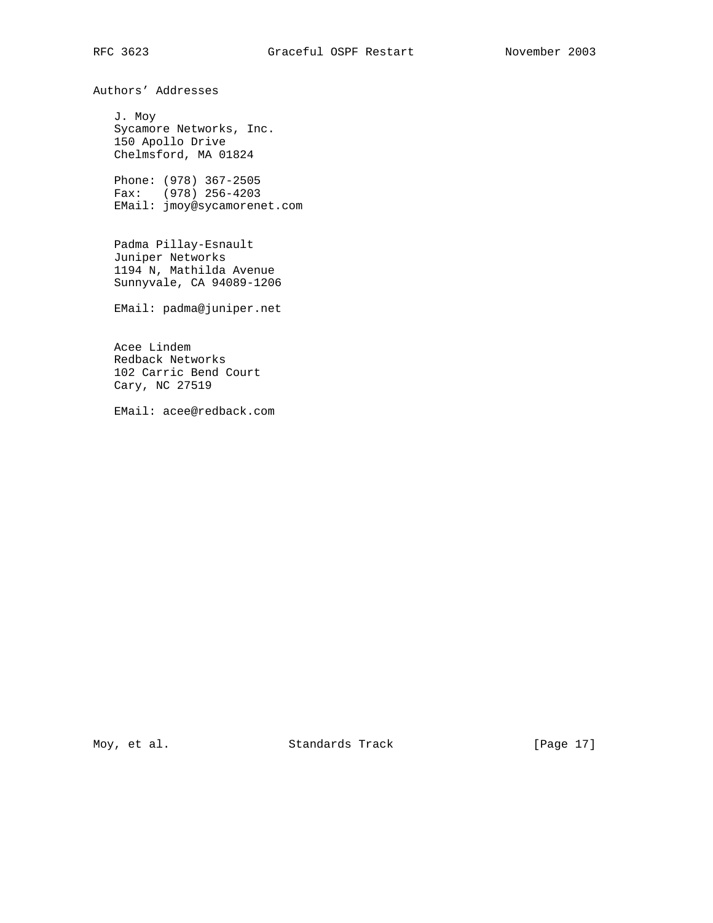Authors' Addresses

 J. Moy Sycamore Networks, Inc. 150 Apollo Drive Chelmsford, MA 01824

 Phone: (978) 367-2505 Fax: (978) 256-4203 EMail: jmoy@sycamorenet.com

 Padma Pillay-Esnault Juniper Networks 1194 N, Mathilda Avenue Sunnyvale, CA 94089-1206

EMail: padma@juniper.net

 Acee Lindem Redback Networks 102 Carric Bend Court Cary, NC 27519

EMail: acee@redback.com

Moy, et al. Standards Track [Page 17]